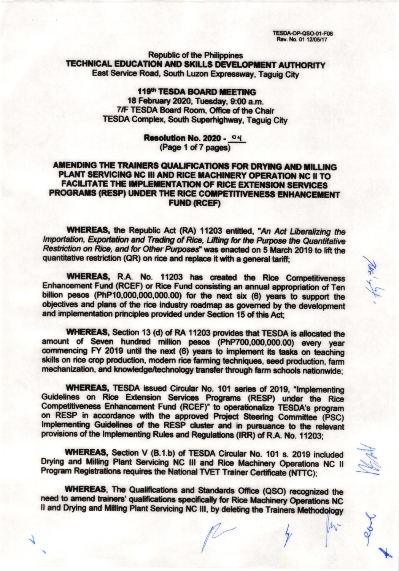**TESDA-OP-QSO-01-F08** Rev. No. 01 12/05/17

**Republic of the Philippines TECHNICAL EDUCATION AND SKILLS DEVELOPMENT AUTHORITY** East Service Road, South Luzon Expressway, Taguig City

# 119th TESDA BOARD MEETING 18 February 2020, Tuesday, 9:00 a.m. 7/F TESDA Board Room. Office of the Chair **TESDA Complex, South Superhighway, Taguig City**

Resolution No. 2020 - 04 (Page 1 of 7 pages)

# AMENDING THE TRAINERS QUALIFICATIONS FOR DRYING AND MILLING PLANT SERVICING NC III AND RICE MACHINERY OPERATION NC II TO **FACILITATE THE IMPLEMENTATION OF RICE EXTENSION SERVICES** PROGRAMS (RESP) UNDER THE RICE COMPETITIVENESS ENHANCEMENT **FUND (RCEF)**

WHEREAS, the Republic Act (RA) 11203 entitled, "An Act Liberalizing the Importation, Exportation and Trading of Rice, Lifting for the Purpose the Quantitative Restriction on Rice, and for Other Purposes" was enacted on 5 March 2019 to lift the quantitative restriction (QR) on rice and replace it with a general tariff;

WHEREAS, R.A. No. 11203 has created the Rice Competitiveness Enhancement Fund (RCEF) or Rice Fund consisting an annual appropriation of Ten billion pesos (PhP10,000,000,000.00) for the next six (6) years to support the objectives and plans of the rice industry roadmap as governed by the development and implementation principles provided under Section 15 of this Act:

WHEREAS, Section 13 (d) of RA 11203 provides that TESDA is allocated the amount of Seven hundred million pesos (PhP700,000,000.00) every year commencing FY 2019 until the next (6) years to implement its tasks on teaching skills on rice crop production, modern rice farming techniques, seed production, farm mechanization, and knowledge/technology transfer through farm schools nationwide;

**WHEREAS, TESDA issued Circular No. 101 series of 2019, "Implementing** Guidelines on Rice Extension Services Programs (RESP) under the Rice Competitiveness Enhancement Fund (RCEF)" to operationalize TESDA's program on RESP in accordance with the approved Project Steering Committee (PSC) Implementing Guidelines of the RESP cluster and in pursuance to the relevant provisions of the Implementing Rules and Regulations (IRR) of R.A. No. 11203;

WHEREAS, Section V (B.1.b) of TESDA Circular No. 101 s. 2019 included Drying and Milling Plant Servicing NC III and Rice Machinery Operations NC II Program Registrations requires the National TVET Trainer Certificate (NTTC);

**WHEREAS, The Qualifications and Standards Office (QSO) recognized the** need to amend trainers' qualifications specifically for Rice Machinery Operations NC II and Drying and Milling Plant Servicing NC III, by deleting the Trainers Methodology

 $M$